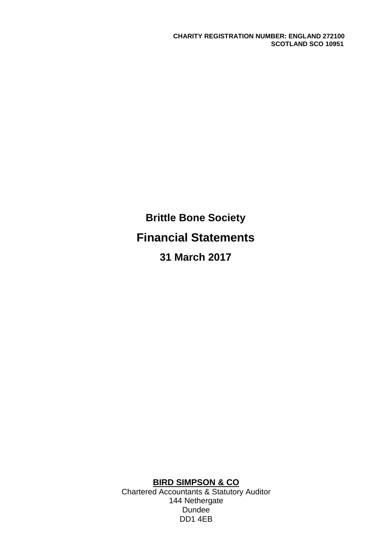**Brittle Bone Society Financial Statements 31 March 2017**

**BIRD SIMPSON & CO**

Chartered Accountants & Statutory Auditor 144 Nethergate Dundee DD1 4EB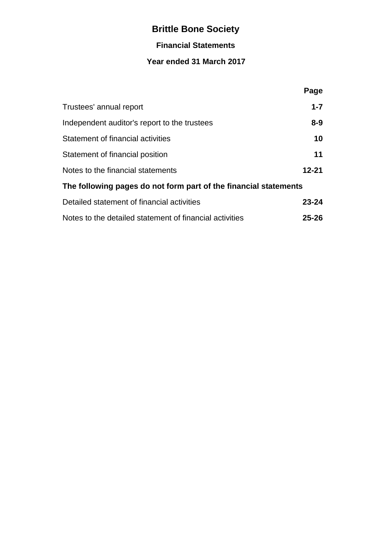# **Financial Statements**

# **Year ended 31 March 2017**

|                                                                  | Page      |
|------------------------------------------------------------------|-----------|
| Trustees' annual report                                          | $1 - 7$   |
| Independent auditor's report to the trustees                     | $8 - 9$   |
| Statement of financial activities                                | 10        |
| Statement of financial position                                  | 11        |
| Notes to the financial statements                                | $12 - 21$ |
| The following pages do not form part of the financial statements |           |
| Detailed statement of financial activities                       | $23 - 24$ |
| Notes to the detailed statement of financial activities          | $25 - 26$ |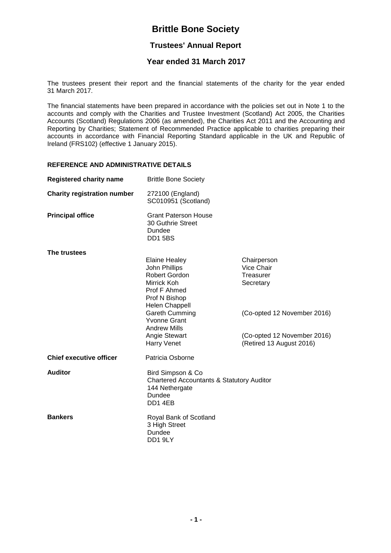# **Trustees' Annual Report**

## **Year ended 31 March 2017**

The trustees present their report and the financial statements of the charity for the year ended 31 March 2017.

The financial statements have been prepared in accordance with the policies set out in Note 1 to the accounts and comply with the Charities and Trustee Investment (Scotland) Act 2005, the Charities Accounts (Scotland) Regulations 2006 (as amended), the Charities Act 2011 and the Accounting and Reporting by Charities; Statement of Recommended Practice applicable to charities preparing their accounts in accordance with Financial Reporting Standard applicable in the UK and Republic of Ireland (FRS102) (effective 1 January 2015).

#### **REFERENCE AND ADMINISTRATIVE DETAILS**

| <b>Registered charity name</b>     | <b>Brittle Bone Society</b>                                                                                                                                                                                                            |                                                                                                                                               |
|------------------------------------|----------------------------------------------------------------------------------------------------------------------------------------------------------------------------------------------------------------------------------------|-----------------------------------------------------------------------------------------------------------------------------------------------|
| <b>Charity registration number</b> | 272100 (England)<br>SC010951 (Scotland)                                                                                                                                                                                                |                                                                                                                                               |
| <b>Principal office</b>            | <b>Grant Paterson House</b><br>30 Guthrie Street<br>Dundee<br><b>DD1 5BS</b>                                                                                                                                                           |                                                                                                                                               |
| The trustees                       | <b>Elaine Healey</b><br>John Phillips<br>Robert Gordon<br>Mirrick Koh<br>Prof F Ahmed<br>Prof N Bishop<br><b>Helen Chappell</b><br><b>Gareth Cumming</b><br><b>Yvonne Grant</b><br><b>Andrew Mills</b><br>Angie Stewart<br>Harry Venet | Chairperson<br>Vice Chair<br>Treasurer<br>Secretary<br>(Co-opted 12 November 2016)<br>(Co-opted 12 November 2016)<br>(Retired 13 August 2016) |
| <b>Chief executive officer</b>     | Patricia Osborne                                                                                                                                                                                                                       |                                                                                                                                               |
| <b>Auditor</b>                     | Bird Simpson & Co<br><b>Chartered Accountants &amp; Statutory Auditor</b><br>144 Nethergate<br>Dundee<br>DD14EB                                                                                                                        |                                                                                                                                               |
| <b>Bankers</b>                     | Royal Bank of Scotland<br>3 High Street<br>Dundee<br>DD19LY                                                                                                                                                                            |                                                                                                                                               |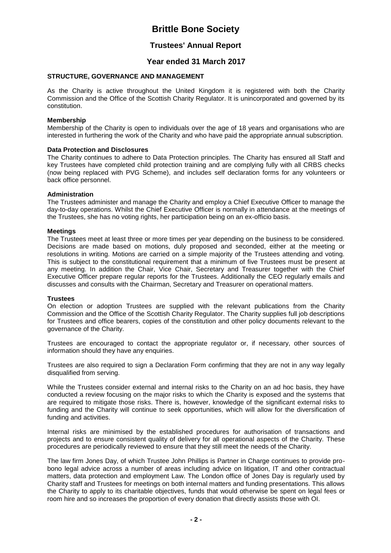## **Trustees' Annual Report**

## **Year ended 31 March 2017**

### **STRUCTURE, GOVERNANCE AND MANAGEMENT**

As the Charity is active throughout the United Kingdom it is registered with both the Charity Commission and the Office of the Scottish Charity Regulator. It is unincorporated and governed by its constitution.

#### **Membership**

Membership of the Charity is open to individuals over the age of 18 years and organisations who are interested in furthering the work of the Charity and who have paid the appropriate annual subscription.

#### **Data Protection and Disclosures**

The Charity continues to adhere to Data Protection principles. The Charity has ensured all Staff and key Trustees have completed child protection training and are complying fully with all CRBS checks (now being replaced with PVG Scheme), and includes self declaration forms for any volunteers or back office personnel.

#### **Administration**

The Trustees administer and manage the Charity and employ a Chief Executive Officer to manage the day-to-day operations. Whilst the Chief Executive Officer is normally in attendance at the meetings of the Trustees, she has no voting rights, her participation being on an ex-officio basis.

#### **Meetings**

The Trustees meet at least three or more times per year depending on the business to be considered. Decisions are made based on motions, duly proposed and seconded, either at the meeting or resolutions in writing. Motions are carried on a simple majority of the Trustees attending and voting. This is subject to the constitutional requirement that a minimum of five Trustees must be present at any meeting. In addition the Chair, Vice Chair, Secretary and Treasurer together with the Chief Executive Officer prepare regular reports for the Trustees. Additionally the CEO regularly emails and discusses and consults with the Chairman, Secretary and Treasurer on operational matters.

#### **Trustees**

On election or adoption Trustees are supplied with the relevant publications from the Charity Commission and the Office of the Scottish Charity Regulator. The Charity supplies full job descriptions for Trustees and office bearers, copies of the constitution and other policy documents relevant to the governance of the Charity.

Trustees are encouraged to contact the appropriate regulator or, if necessary, other sources of information should they have any enquiries.

Trustees are also required to sign a Declaration Form confirming that they are not in any way legally disqualified from serving.

While the Trustees consider external and internal risks to the Charity on an ad hoc basis, they have conducted a review focusing on the major risks to which the Charity is exposed and the systems that are required to mitigate those risks. There is, however, knowledge of the significant external risks to funding and the Charity will continue to seek opportunities, which will allow for the diversification of funding and activities.

Internal risks are minimised by the established procedures for authorisation of transactions and projects and to ensure consistent quality of delivery for all operational aspects of the Charity. These procedures are periodically reviewed to ensure that they still meet the needs of the Charity.

The law firm Jones Day, of which Trustee John Phillips is Partner in Charge continues to provide probono legal advice across a number of areas including advice on litigation, IT and other contractual matters, data protection and employment Law. The London office of Jones Day is regularly used by Charity staff and Trustees for meetings on both internal matters and funding presentations. This allows the Charity to apply to its charitable objectives, funds that would otherwise be spent on legal fees or room hire and so increases the proportion of every donation that directly assists those with OI.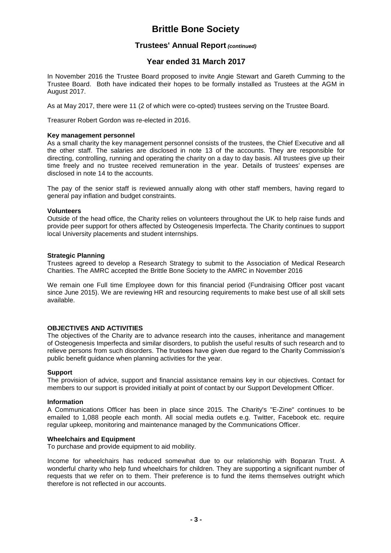## **Trustees' Annual Report** *(continued)*

## **Year ended 31 March 2017**

In November 2016 the Trustee Board proposed to invite Angie Stewart and Gareth Cumming to the Trustee Board. Both have indicated their hopes to be formally installed as Trustees at the AGM in August 2017.

As at May 2017, there were 11 (2 of which were co-opted) trustees serving on the Trustee Board.

Treasurer Robert Gordon was re-elected in 2016.

#### **Key management personnel**

As a small charity the key management personnel consists of the trustees, the Chief Executive and all the other staff. The salaries are disclosed in note 13 of the accounts. They are responsible for directing, controlling, running and operating the charity on a day to day basis. All trustees give up their time freely and no trustee received remuneration in the year. Details of trustees' expenses are disclosed in note 14 to the accounts.

The pay of the senior staff is reviewed annually along with other staff members, having regard to general pay inflation and budget constraints.

#### **Volunteers**

Outside of the head office, the Charity relies on volunteers throughout the UK to help raise funds and provide peer support for others affected by Osteogenesis Imperfecta. The Charity continues to support local University placements and student internships.

#### **Strategic Planning**

Trustees agreed to develop a Research Strategy to submit to the Association of Medical Research Charities. The AMRC accepted the Brittle Bone Society to the AMRC in November 2016

We remain one Full time Employee down for this financial period (Fundraising Officer post vacant since June 2015). We are reviewing HR and resourcing requirements to make best use of all skill sets available.

#### **OBJECTIVES AND ACTIVITIES**

The objectives of the Charity are to advance research into the causes, inheritance and management of Osteogenesis Imperfecta and similar disorders, to publish the useful results of such research and to relieve persons from such disorders. The trustees have given due regard to the Charity Commission's public benefit guidance when planning activities for the year.

#### **Support**

The provision of advice, support and financial assistance remains key in our objectives. Contact for members to our support is provided initially at point of contact by our Support Development Officer.

#### **Information**

A Communications Officer has been in place since 2015. The Charity's "E-Zine" continues to be emailed to 1,088 people each month. All social media outlets e.g. Twitter, Facebook etc. require regular upkeep, monitoring and maintenance managed by the Communications Officer.

#### **Wheelchairs and Equipment**

To purchase and provide equipment to aid mobility.

Income for wheelchairs has reduced somewhat due to our relationship with Boparan Trust. A wonderful charity who help fund wheelchairs for children. They are supporting a significant number of requests that we refer on to them. Their preference is to fund the items themselves outright which therefore is not reflected in our accounts.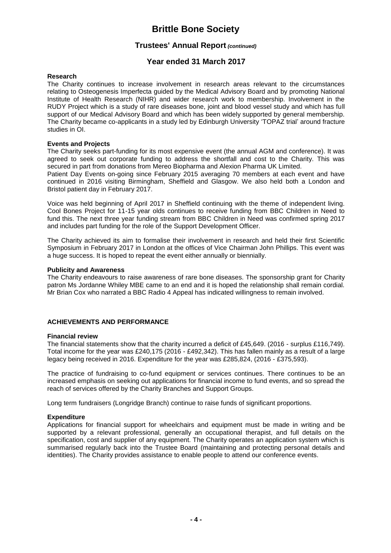## **Trustees' Annual Report** *(continued)*

## **Year ended 31 March 2017**

#### **Research**

The Charity continues to increase involvement in research areas relevant to the circumstances relating to Osteogenesis Imperfecta guided by the Medical Advisory Board and by promoting National Institute of Health Research (NIHR) and wider research work to membership. Involvement in the RUDY Project which is a study of rare diseases bone, joint and blood vessel study and which has full support of our Medical Advisory Board and which has been widely supported by general membership. The Charity became co-applicants in a study led by Edinburgh University 'TOPAZ trial' around fracture studies in OI.

#### **Events and Projects**

The Charity seeks part-funding for its most expensive event (the annual AGM and conference). It was agreed to seek out corporate funding to address the shortfall and cost to the Charity. This was secured in part from donations from Mereo Biopharma and Alexion Pharma UK Limited.

Patient Day Events on-going since February 2015 averaging 70 members at each event and have continued in 2016 visiting Birmingham, Sheffield and Glasgow. We also held both a London and Bristol patient day in February 2017.

Voice was held beginning of April 2017 in Sheffield continuing with the theme of independent living. Cool Bones Project for 11-15 year olds continues to receive funding from BBC Children in Need to fund this. The next three year funding stream from BBC Children in Need was confirmed spring 2017 and includes part funding for the role of the Support Development Officer.

The Charity achieved its aim to formalise their involvement in research and held their first Scientific Symposium in February 2017 in London at the offices of Vice Chairman John Phillips. This event was a huge success. It is hoped to repeat the event either annually or biennially.

#### **Publicity and Awareness**

The Charity endeavours to raise awareness of rare bone diseases. The sponsorship grant for Charity patron Ms Jordanne Whiley MBE came to an end and it is hoped the relationship shall remain cordial. Mr Brian Cox who narrated a BBC Radio 4 Appeal has indicated willingness to remain involved.

#### **ACHIEVEMENTS AND PERFORMANCE**

#### **Financial review**

The financial statements show that the charity incurred a deficit of £45,649. (2016 - surplus £116,749). Total income for the year was £240,175 (2016 - £492,342). This has fallen mainly as a result of a large legacy being received in 2016. Expenditure for the year was £285,824, (2016 - £375,593).

The practice of fundraising to co-fund equipment or services continues. There continues to be an increased emphasis on seeking out applications for financial income to fund events, and so spread the reach of services offered by the Charity Branches and Support Groups.

Long term fundraisers (Longridge Branch) continue to raise funds of significant proportions.

#### **Expenditure**

Applications for financial support for wheelchairs and equipment must be made in writing and be supported by a relevant professional, generally an occupational therapist, and full details on the specification, cost and supplier of any equipment. The Charity operates an application system which is summarised regularly back into the Trustee Board (maintaining and protecting personal details and identities). The Charity provides assistance to enable people to attend our conference events.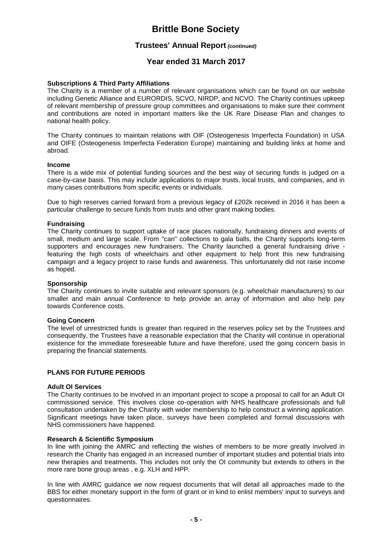## **Trustees' Annual Report** *(continued)*

## **Year ended 31 March 2017**

#### **Subscriptions & Third Party Affiliations**

The Charity is a member of a number of relevant organisations which can be found on our website including Genetic Alliance and EURORDIS, SCVO, NIRDP, and NCVO. The Charity continues upkeep of relevant membership of pressure group committees and organisations to make sure their comment and contributions are noted in important matters like the UK Rare Disease Plan and changes to national health policy.

The Charity continues to maintain relations with OIF (Osteogenesis Imperfecta Foundation) in USA and OIFE (Osteogenesis Imperfecta Federation Europe) maintaining and building links at home and abroad.

#### **Income**

There is a wide mix of potential funding sources and the best way of securing funds is judged on a case-by-case basis. This may include applications to major trusts, local trusts, and companies, and in many cases contributions from specific events or individuals.

Due to high reserves carried forward from a previous legacy of £202k received in 2016 it has been a particular challenge to secure funds from trusts and other grant making bodies.

#### **Fundraising**

The Charity continues to support uptake of race places nationally, fundraising dinners and events of small, medium and large scale. From "can" collections to gala balls, the Charity supports long-term supporters and encourages new fundraisers. The Charity launched a general fundraising drive featuring the high costs of wheelchairs and other equipment to help front this new fundraising campaign and a legacy project to raise funds and awareness. This unfortunately did not raise income as hoped.

#### **Sponsorship**

The Charity continues to invite suitable and relevant sponsors (e.g. wheelchair manufacturers) to our smaller and main annual Conference to help provide an array of information and also help pay towards Conference costs.

#### **Going Concern**

The level of unrestricted funds is greater than required in the reserves policy set by the Trustees and consequently, the Trustees have a reasonable expectation that the Charity will continue in operational existence for the immediate foreseeable future and have therefore, used the going concern basis in preparing the financial statements.

#### **PLANS FOR FUTURE PERIODS**

#### **Adult OI Services**

The Charity continues to be involved in an important project to scope a proposal to call for an Adult OI commissioned service. This involves close co-operation with NHS healthcare professionals and full consultation undertaken by the Charity with wider membership to help construct a winning application. Significant meetings have taken place, surveys have been completed and formal discussions with NHS commissioners have happened.

#### **Research & Scientific Symposium**

In line with joining the AMRC and reflecting the wishes of members to be more greatly involved in research the Charity has engaged in an increased number of important studies and potential trials into new therapies and treatments. This includes not only the OI community but extends to others in the more rare bone group areas , e.g. XLH and HPP.

In line with AMRC guidance we now request documents that will detail all approaches made to the BBS for either monetary support in the form of grant or in kind to enlist members' input to surveys and questionnaires.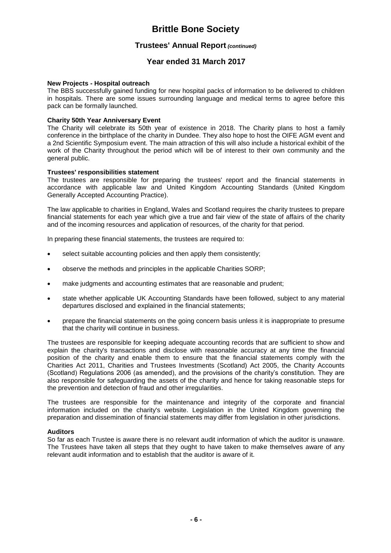## **Trustees' Annual Report** *(continued)*

## **Year ended 31 March 2017**

#### **New Projects - Hospital outreach**

The BBS successfully gained funding for new hospital packs of information to be delivered to children in hospitals. There are some issues surrounding language and medical terms to agree before this pack can be formally launched.

#### **Charity 50th Year Anniversary Event**

The Charity will celebrate its 50th year of existence in 2018. The Charity plans to host a family conference in the birthplace of the charity in Dundee. They also hope to host the OIFE AGM event and a 2nd Scientific Symposium event. The main attraction of this will also include a historical exhibit of the work of the Charity throughout the period which will be of interest to their own community and the general public.

#### **Trustees' responsibilities statement**

The trustees are responsible for preparing the trustees' report and the financial statements in accordance with applicable law and United Kingdom Accounting Standards (United Kingdom Generally Accepted Accounting Practice).

The law applicable to charities in England, Wales and Scotland requires the charity trustees to prepare financial statements for each year which give a true and fair view of the state of affairs of the charity and of the incoming resources and application of resources, of the charity for that period.

In preparing these financial statements, the trustees are required to:

- select suitable accounting policies and then apply them consistently;
- observe the methods and principles in the applicable Charities SORP;
- make judgments and accounting estimates that are reasonable and prudent;
- state whether applicable UK Accounting Standards have been followed, subject to any material departures disclosed and explained in the financial statements;
- prepare the financial statements on the going concern basis unless it is inappropriate to presume that the charity will continue in business.

The trustees are responsible for keeping adequate accounting records that are sufficient to show and explain the charity's transactions and disclose with reasonable accuracy at any time the financial position of the charity and enable them to ensure that the financial statements comply with the Charities Act 2011, Charities and Trustees Investments (Scotland) Act 2005, the Charity Accounts (Scotland) Regulations 2006 (as amended), and the provisions of the charity's constitution. They are also responsible for safeguarding the assets of the charity and hence for taking reasonable steps for the prevention and detection of fraud and other irregularities.

The trustees are responsible for the maintenance and integrity of the corporate and financial information included on the charity's website. Legislation in the United Kingdom governing the preparation and dissemination of financial statements may differ from legislation in other jurisdictions.

#### **Auditors**

So far as each Trustee is aware there is no relevant audit information of which the auditor is unaware. The Trustees have taken all steps that they ought to have taken to make themselves aware of any relevant audit information and to establish that the auditor is aware of it.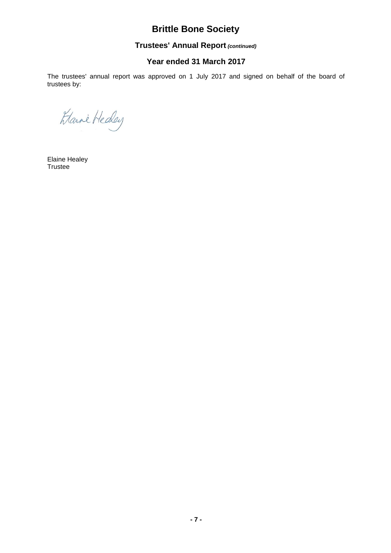# **Trustees' Annual Report** *(continued)*

## **Year ended 31 March 2017**

The trustees' annual report was approved on 1 July 2017 and signed on behalf of the board of trustees by:

Harri Heday

Elaine Healey Trustee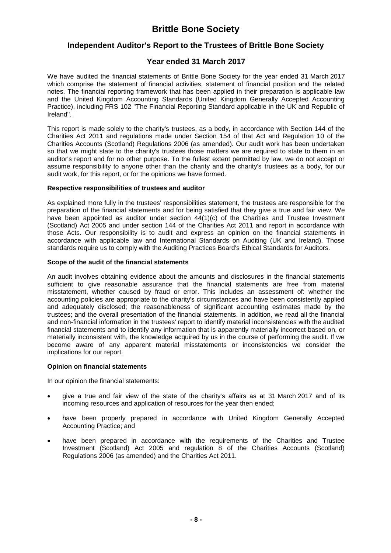## **Independent Auditor's Report to the Trustees of Brittle Bone Society**

## **Year ended 31 March 2017**

We have audited the financial statements of Brittle Bone Society for the year ended 31 March 2017 which comprise the statement of financial activities, statement of financial position and the related notes. The financial reporting framework that has been applied in their preparation is applicable law and the United Kingdom Accounting Standards (United Kingdom Generally Accepted Accounting Practice), including FRS 102 ''The Financial Reporting Standard applicable in the UK and Republic of Ireland''.

This report is made solely to the charity's trustees, as a body, in accordance with Section 144 of the Charities Act 2011 and regulations made under Section 154 of that Act and Regulation 10 of the Charities Accounts (Scotland) Regulations 2006 (as amended). Our audit work has been undertaken so that we might state to the charity's trustees those matters we are required to state to them in an auditor's report and for no other purpose. To the fullest extent permitted by law, we do not accept or assume responsibility to anyone other than the charity and the charity's trustees as a body, for our audit work, for this report, or for the opinions we have formed.

#### **Respective responsibilities of trustees and auditor**

As explained more fully in the trustees' responsibilities statement, the trustees are responsible for the preparation of the financial statements and for being satisfied that they give a true and fair view. We have been appointed as auditor under section 44(1)(c) of the Charities and Trustee Investment (Scotland) Act 2005 and under section 144 of the Charities Act 2011 and report in accordance with those Acts. Our responsibility is to audit and express an opinion on the financial statements in accordance with applicable law and International Standards on Auditing (UK and Ireland). Those standards require us to comply with the Auditing Practices Board's Ethical Standards for Auditors.

#### **Scope of the audit of the financial statements**

An audit involves obtaining evidence about the amounts and disclosures in the financial statements sufficient to give reasonable assurance that the financial statements are free from material misstatement, whether caused by fraud or error. This includes an assessment of: whether the accounting policies are appropriate to the charity's circumstances and have been consistently applied and adequately disclosed; the reasonableness of significant accounting estimates made by the trustees; and the overall presentation of the financial statements. In addition, we read all the financial and non-financial information in the trustees' report to identify material inconsistencies with the audited financial statements and to identify any information that is apparently materially incorrect based on, or materially inconsistent with, the knowledge acquired by us in the course of performing the audit. If we become aware of any apparent material misstatements or inconsistencies we consider the implications for our report.

#### **Opinion on financial statements**

In our opinion the financial statements:

- give a true and fair view of the state of the charity's affairs as at 31 March 2017 and of its incoming resources and application of resources for the year then ended;
- have been properly prepared in accordance with United Kingdom Generally Accepted Accounting Practice; and
- have been prepared in accordance with the requirements of the Charities and Trustee Investment (Scotland) Act 2005 and regulation 8 of the Charities Accounts (Scotland) Regulations 2006 (as amended) and the Charities Act 2011.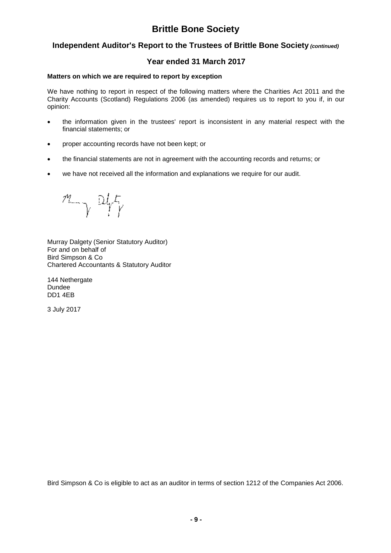## **Independent Auditor's Report to the Trustees of Brittle Bone Society** *(continued)*

## **Year ended 31 March 2017**

#### **Matters on which we are required to report by exception**

We have nothing to report in respect of the following matters where the Charities Act 2011 and the Charity Accounts (Scotland) Regulations 2006 (as amended) requires us to report to you if, in our opinion:

- the information given in the trustees' report is inconsistent in any material respect with the financial statements; or
- proper accounting records have not been kept; or
- the financial statements are not in agreement with the accounting records and returns; or
- we have not received all the information and explanations we require for our audit.

 $M_{\gamma}$  off

Murray Dalgety (Senior Statutory Auditor) For and on behalf of Bird Simpson & Co Chartered Accountants & Statutory Auditor

144 Nethergate Dundee DD1 4EB

3 July 2017

Bird Simpson & Co is eligible to act as an auditor in terms of section 1212 of the Companies Act 2006.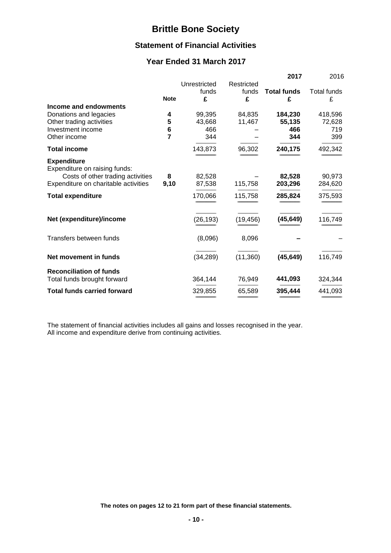## **Statement of Financial Activities**

# **Year Ended 31 March 2017**

|                                                     |             |                            |                          | 2017                    | 2016                    |
|-----------------------------------------------------|-------------|----------------------------|--------------------------|-------------------------|-------------------------|
|                                                     | <b>Note</b> | Unrestricted<br>funds<br>£ | Restricted<br>funds<br>£ | <b>Total funds</b><br>£ | <b>Total funds</b><br>£ |
| Income and endowments                               |             |                            |                          |                         |                         |
| Donations and legacies                              | 4           | 99,395                     | 84,835                   | 184,230                 | 418,596                 |
| Other trading activities                            | 5           | 43,668                     | 11,467                   | 55,135                  | 72,628                  |
| Investment income                                   | 6           | 466                        |                          | 466                     | 719                     |
| Other income                                        | 7           | 344                        |                          | 344                     | 399                     |
| <b>Total income</b>                                 |             | 143,873                    | 96,302                   | 240,175                 | 492,342                 |
| <b>Expenditure</b><br>Expenditure on raising funds: |             |                            |                          |                         |                         |
| Costs of other trading activities                   | 8           | 82,528                     |                          | 82,528                  | 90,973                  |
| Expenditure on charitable activities                | 9,10        | 87,538                     | 115,758                  | 203,296                 | 284,620                 |
| <b>Total expenditure</b>                            |             | 170,066                    | 115,758                  | 285,824                 | 375,593                 |
| Net (expenditure)/income                            |             | (26, 193)                  | (19, 456)                | (45, 649)               | 116,749                 |
| Transfers between funds                             |             | (8,096)                    | 8,096                    |                         |                         |
| Net movement in funds                               |             | (34, 289)                  | (11,360)                 | (45, 649)               | 116,749                 |
| <b>Reconciliation of funds</b>                      |             |                            |                          |                         |                         |
| Total funds brought forward                         |             | 364,144                    | 76,949                   | 441,093                 | 324,344                 |
| <b>Total funds carried forward</b>                  |             | 329,855                    | 65,589                   | 395,444                 | 441,093                 |

The statement of financial activities includes all gains and losses recognised in the year. All income and expenditure derive from continuing activities.

**The notes on pages 12 to 21 form part of these financial statements.**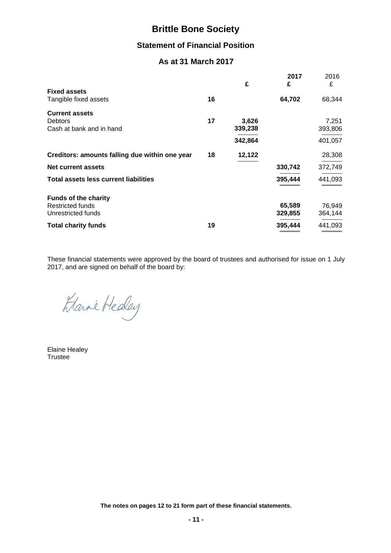## **Statement of Financial Position**

# **As at 31 March 2017**

|                                                                       |    | £                | 2017<br>£         | 2016<br>£         |
|-----------------------------------------------------------------------|----|------------------|-------------------|-------------------|
| <b>Fixed assets</b><br>Tangible fixed assets                          | 16 |                  | 64,702            | 68,344            |
| <b>Current assets</b><br><b>Debtors</b><br>Cash at bank and in hand   | 17 | 3,626<br>339,238 |                   | 7,251<br>393,806  |
|                                                                       |    | 342,864          |                   | 401,057           |
| Creditors: amounts falling due within one year                        | 18 | 12,122           |                   | 28,308            |
| Net current assets                                                    |    |                  | 330,742           | 372,749           |
| <b>Total assets less current liabilities</b>                          |    |                  | 395,444           | 441,093           |
| <b>Funds of the charity</b><br>Restricted funds<br>Unrestricted funds |    |                  | 65,589<br>329,855 | 76,949<br>364,144 |
| <b>Total charity funds</b>                                            | 19 |                  | 395,444           | 441,093           |

These financial statements were approved by the board of trustees and authorised for issue on 1 July 2017, and are signed on behalf of the board by:

Etami Heday

Elaine Healey Trustee

**The notes on pages 12 to 21 form part of these financial statements.**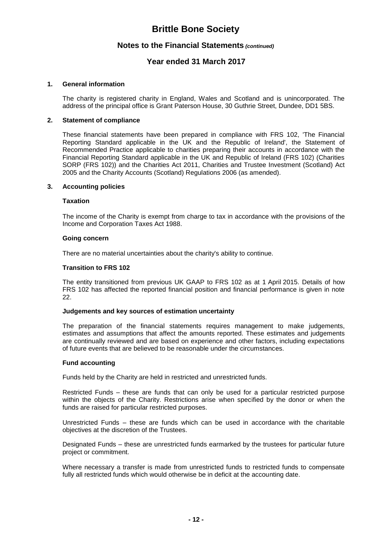## **Notes to the Financial Statements** *(continued)*

## **Year ended 31 March 2017**

#### **1. General information**

The charity is registered charity in England, Wales and Scotland and is unincorporated. The address of the principal office is Grant Paterson House, 30 Guthrie Street, Dundee, DD1 5BS.

#### **2. Statement of compliance**

These financial statements have been prepared in compliance with FRS 102, 'The Financial Reporting Standard applicable in the UK and the Republic of Ireland', the Statement of Recommended Practice applicable to charities preparing their accounts in accordance with the Financial Reporting Standard applicable in the UK and Republic of Ireland (FRS 102) (Charities SORP (FRS 102)) and the Charities Act 2011, Charities and Trustee Investment (Scotland) Act 2005 and the Charity Accounts (Scotland) Regulations 2006 (as amended).

#### **3. Accounting policies**

#### **Taxation**

The income of the Charity is exempt from charge to tax in accordance with the provisions of the Income and Corporation Taxes Act 1988.

#### **Going concern**

There are no material uncertainties about the charity's ability to continue.

#### **Transition to FRS 102**

The entity transitioned from previous UK GAAP to FRS 102 as at 1 April 2015. Details of how FRS 102 has affected the reported financial position and financial performance is given in note 22.

#### **Judgements and key sources of estimation uncertainty**

The preparation of the financial statements requires management to make judgements, estimates and assumptions that affect the amounts reported. These estimates and judgements are continually reviewed and are based on experience and other factors, including expectations of future events that are believed to be reasonable under the circumstances.

#### **Fund accounting**

Funds held by the Charity are held in restricted and unrestricted funds.

Restricted Funds – these are funds that can only be used for a particular restricted purpose within the objects of the Charity. Restrictions arise when specified by the donor or when the funds are raised for particular restricted purposes.

Unrestricted Funds – these are funds which can be used in accordance with the charitable objectives at the discretion of the Trustees.

Designated Funds – these are unrestricted funds earmarked by the trustees for particular future project or commitment.

Where necessary a transfer is made from unrestricted funds to restricted funds to compensate fully all restricted funds which would otherwise be in deficit at the accounting date.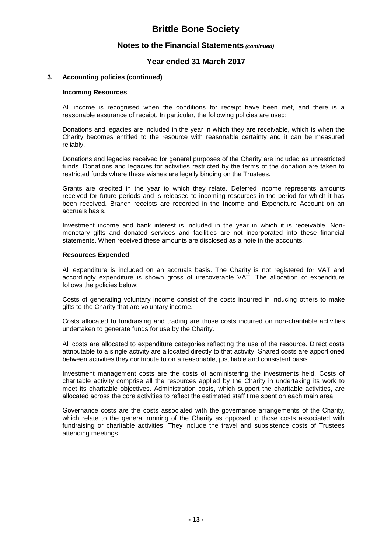## **Notes to the Financial Statements** *(continued)*

## **Year ended 31 March 2017**

#### **3. Accounting policies (continued)**

#### **Incoming Resources**

All income is recognised when the conditions for receipt have been met, and there is a reasonable assurance of receipt. In particular, the following policies are used:

Donations and legacies are included in the year in which they are receivable, which is when the Charity becomes entitled to the resource with reasonable certainty and it can be measured reliably.

Donations and legacies received for general purposes of the Charity are included as unrestricted funds. Donations and legacies for activities restricted by the terms of the donation are taken to restricted funds where these wishes are legally binding on the Trustees.

Grants are credited in the year to which they relate. Deferred income represents amounts received for future periods and is released to incoming resources in the period for which it has been received. Branch receipts are recorded in the Income and Expenditure Account on an accruals basis.

Investment income and bank interest is included in the year in which it is receivable. Nonmonetary gifts and donated services and facilities are not incorporated into these financial statements. When received these amounts are disclosed as a note in the accounts.

#### **Resources Expended**

All expenditure is included on an accruals basis. The Charity is not registered for VAT and accordingly expenditure is shown gross of irrecoverable VAT. The allocation of expenditure follows the policies below:

Costs of generating voluntary income consist of the costs incurred in inducing others to make gifts to the Charity that are voluntary income.

Costs allocated to fundraising and trading are those costs incurred on non-charitable activities undertaken to generate funds for use by the Charity.

All costs are allocated to expenditure categories reflecting the use of the resource. Direct costs attributable to a single activity are allocated directly to that activity. Shared costs are apportioned between activities they contribute to on a reasonable, justifiable and consistent basis.

Investment management costs are the costs of administering the investments held. Costs of charitable activity comprise all the resources applied by the Charity in undertaking its work to meet its charitable objectives. Administration costs, which support the charitable activities, are allocated across the core activities to reflect the estimated staff time spent on each main area.

Governance costs are the costs associated with the governance arrangements of the Charity, which relate to the general running of the Charity as opposed to those costs associated with fundraising or charitable activities. They include the travel and subsistence costs of Trustees attending meetings.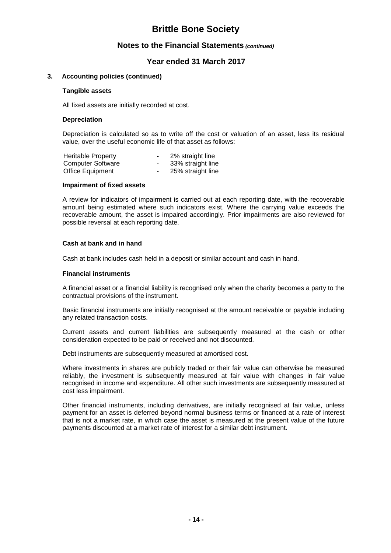## **Notes to the Financial Statements** *(continued)*

## **Year ended 31 March 2017**

#### **3. Accounting policies (continued)**

#### **Tangible assets**

All fixed assets are initially recorded at cost.

#### **Depreciation**

Depreciation is calculated so as to write off the cost or valuation of an asset, less its residual value, over the useful economic life of that asset as follows:

| <b>Heritable Property</b> | ۰. | 2% straight line  |
|---------------------------|----|-------------------|
| <b>Computer Software</b>  | ۰. | 33% straight line |
| Office Equipment          | ۰. | 25% straight line |

#### **Impairment of fixed assets**

A review for indicators of impairment is carried out at each reporting date, with the recoverable amount being estimated where such indicators exist. Where the carrying value exceeds the recoverable amount, the asset is impaired accordingly. Prior impairments are also reviewed for possible reversal at each reporting date.

#### **Cash at bank and in hand**

Cash at bank includes cash held in a deposit or similar account and cash in hand.

#### **Financial instruments**

A financial asset or a financial liability is recognised only when the charity becomes a party to the contractual provisions of the instrument.

Basic financial instruments are initially recognised at the amount receivable or payable including any related transaction costs.

Current assets and current liabilities are subsequently measured at the cash or other consideration expected to be paid or received and not discounted.

Debt instruments are subsequently measured at amortised cost.

Where investments in shares are publicly traded or their fair value can otherwise be measured reliably, the investment is subsequently measured at fair value with changes in fair value recognised in income and expenditure. All other such investments are subsequently measured at cost less impairment.

Other financial instruments, including derivatives, are initially recognised at fair value, unless payment for an asset is deferred beyond normal business terms or financed at a rate of interest that is not a market rate, in which case the asset is measured at the present value of the future payments discounted at a market rate of interest for a similar debt instrument.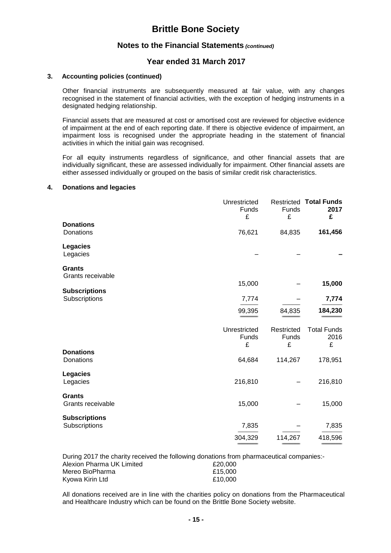## **Notes to the Financial Statements** *(continued)*

## **Year ended 31 March 2017**

#### **3. Accounting policies (continued)**

Other financial instruments are subsequently measured at fair value, with any changes recognised in the statement of financial activities, with the exception of hedging instruments in a designated hedging relationship.

Financial assets that are measured at cost or amortised cost are reviewed for objective evidence of impairment at the end of each reporting date. If there is objective evidence of impairment, an impairment loss is recognised under the appropriate heading in the statement of financial activities in which the initial gain was recognised.

For all equity instruments regardless of significance, and other financial assets that are individually significant, these are assessed individually for impairment. Other financial assets are either assessed individually or grouped on the basis of similar credit risk characteristics.

#### **4. Donations and legacies**

|                                       | Unrestricted<br>Funds<br>£ | Funds<br>£               | <b>Restricted Total Funds</b><br>2017<br>£ |
|---------------------------------------|----------------------------|--------------------------|--------------------------------------------|
| <b>Donations</b><br>Donations         | 76,621                     | 84,835                   | 161,456                                    |
| Legacies<br>Legacies                  |                            |                          |                                            |
| <b>Grants</b><br>Grants receivable    |                            |                          |                                            |
| <b>Subscriptions</b>                  | 15,000                     |                          | 15,000                                     |
| Subscriptions                         | 7,774                      |                          | 7,774                                      |
|                                       | 99,395                     | 84,835                   | 184,230                                    |
|                                       | Unrestricted<br>Funds<br>£ | Restricted<br>Funds<br>£ | <b>Total Funds</b><br>2016<br>£            |
| <b>Donations</b><br>Donations         | 64,684                     | 114,267                  | 178,951                                    |
| <b>Legacies</b><br>Legacies           | 216,810                    |                          | 216,810                                    |
| <b>Grants</b><br>Grants receivable    | 15,000                     |                          | 15,000                                     |
| <b>Subscriptions</b><br>Subscriptions | 7,835                      |                          | 7,835                                      |
|                                       | 304,329                    | 114,267                  | 418,596                                    |

During 2017 the charity received the following donations from pharmaceutical companies:-

| Alexion Pharma UK Limited | £20,000 |
|---------------------------|---------|
| Mereo BioPharma           | £15.000 |
| Kyowa Kirin Ltd           | £10.000 |

All donations received are in line with the charities policy on donations from the Pharmaceutical and Healthcare Industry which can be found on the Brittle Bone Society website.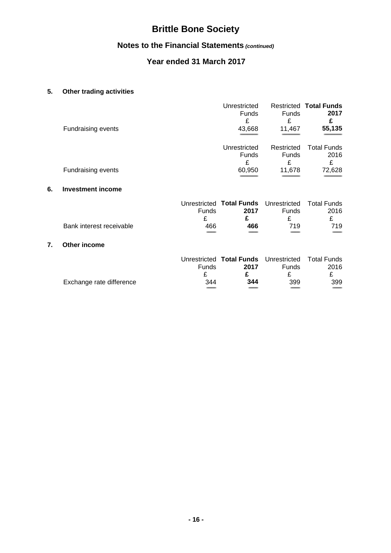# **Notes to the Financial Statements** *(continued)*

# **Year ended 31 March 2017**

# **5. Other trading activities**

**7. Other income**

|    | Fundraising events        |            | Unrestricted<br><b>Funds</b><br>£<br>43,668        | <b>Funds</b><br>£<br>11,467     | <b>Restricted Total Funds</b><br>2017<br>£<br>55,135 |
|----|---------------------------|------------|----------------------------------------------------|---------------------------------|------------------------------------------------------|
|    |                           |            | Unrestricted<br>Funds<br>£                         | Restricted<br><b>Funds</b><br>£ | <b>Total Funds</b><br>2016<br>£                      |
|    | <b>Fundraising events</b> |            | 60,950                                             | 11,678                          | 72,628                                               |
| 6. | <b>Investment income</b>  |            |                                                    |                                 |                                                      |
|    |                           | Funds<br>£ | Unrestricted Total Funds Unrestricted<br>2017<br>£ | Funds<br>£                      | <b>Total Funds</b><br>2016<br>£                      |
|    | Bank interest receivable  | 466        | 466                                                | 719                             | 719                                                  |
| 7. | Other income              |            |                                                    |                                 |                                                      |
|    |                           | Funds<br>£ | Unrestricted Total Funds Unrestricted<br>2017<br>£ | Funds<br>£                      | <b>Total Funds</b><br>2016<br>£                      |
|    | Exchange rate difference  | 344        | 344                                                | 399                             | 399                                                  |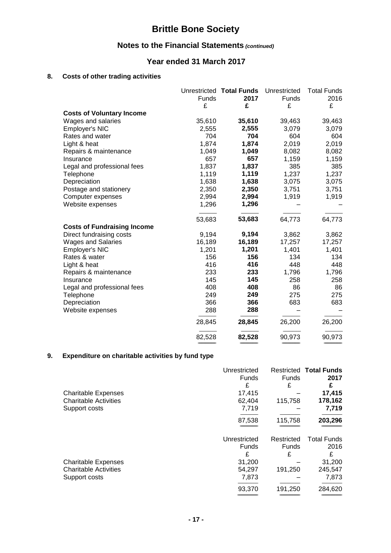# **Notes to the Financial Statements** *(continued)*

## **Year ended 31 March 2017**

# **8. Costs of other trading activities**

|                                    | Funds<br>£ | Unrestricted Total Funds<br>2017<br>£ | Unrestricted<br><b>Funds</b><br>£ | <b>Total Funds</b><br>2016<br>£ |
|------------------------------------|------------|---------------------------------------|-----------------------------------|---------------------------------|
| <b>Costs of Voluntary Income</b>   |            |                                       |                                   |                                 |
| Wages and salaries                 | 35,610     | 35,610                                | 39,463                            | 39,463                          |
| Employer's NIC                     | 2,555      | 2,555                                 | 3,079                             | 3,079                           |
| Rates and water                    | 704        | 704                                   | 604                               | 604                             |
| Light & heat                       | 1,874      | 1,874                                 | 2,019                             | 2,019                           |
| Repairs & maintenance              | 1,049      | 1,049                                 | 8,082                             | 8,082                           |
| Insurance                          | 657        | 657                                   | 1,159                             | 1,159                           |
| Legal and professional fees        | 1,837      | 1,837                                 | 385                               | 385                             |
| Telephone                          | 1,119      | 1,119                                 | 1,237                             | 1,237                           |
| Depreciation                       | 1,638      | 1,638                                 | 3,075                             | 3,075                           |
| Postage and stationery             | 2,350      | 2,350                                 | 3,751                             | 3,751                           |
| Computer expenses                  | 2,994      | 2,994                                 | 1,919                             | 1,919                           |
| Website expenses                   | 1,296      | 1,296                                 |                                   |                                 |
|                                    | 53,683     | 53,683                                | 64,773                            | 64,773                          |
| <b>Costs of Fundraising Income</b> |            |                                       |                                   |                                 |
| Direct fundraising costs           | 9,194      | 9,194                                 | 3,862                             | 3,862                           |
| <b>Wages and Salaries</b>          | 16,189     | 16,189                                | 17,257                            | 17,257                          |
| Employer's NIC                     | 1,201      | 1,201                                 | 1,401                             | 1,401                           |
| Rates & water                      | 156        | 156                                   | 134                               | 134                             |
| Light & heat                       | 416        | 416                                   | 448                               | 448                             |
| Repairs & maintenance              | 233        | 233                                   | 1,796                             | 1,796                           |
| Insurance                          | 145        | 145                                   | 258                               | 258                             |
| Legal and professional fees        | 408        | 408                                   | 86                                | 86                              |
| Telephone                          | 249        | 249                                   | 275                               | 275                             |
| Depreciation                       | 366        | 366                                   | 683                               | 683                             |
| Website expenses                   | 288        | 288                                   |                                   |                                 |
|                                    | 28,845     | 28,845                                | 26,200                            | 26,200                          |
|                                    | 82,528     | 82,528                                | 90,973                            | 90,973                          |
|                                    |            |                                       |                                   |                                 |

## **9. Expenditure on charitable activities by fund type**

|                              | Unrestricted |              | <b>Restricted Total Funds</b> |
|------------------------------|--------------|--------------|-------------------------------|
|                              | <b>Funds</b> | <b>Funds</b> | 2017                          |
|                              | £            | £            | £                             |
| <b>Charitable Expenses</b>   | 17,415       |              | 17,415                        |
| <b>Charitable Activities</b> | 62,404       | 115,758      | 178,162                       |
| Support costs                | 7,719        |              | 7,719                         |
|                              | 87,538       | 115,758      | 203,296                       |
|                              |              |              |                               |
|                              | Unrestricted | Restricted   | <b>Total Funds</b>            |
|                              | <b>Funds</b> | <b>Funds</b> | 2016                          |
|                              | £            |              |                               |
|                              |              | £            | £                             |
| <b>Charitable Expenses</b>   | 31,200       |              | 31,200                        |
| <b>Charitable Activities</b> | 54,297       | 191,250      | 245,547                       |
| Support costs                | 7,873        |              | 7,873                         |
|                              | 93,370       | 191,250      | 284,620                       |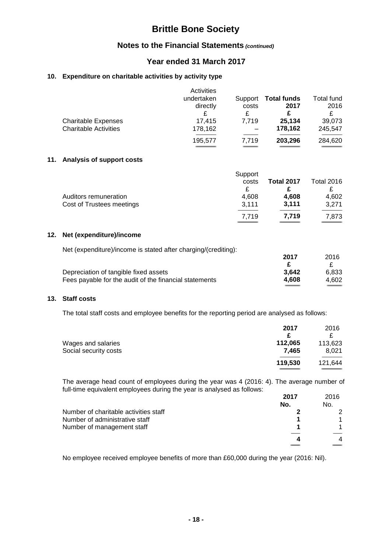## **Notes to the Financial Statements** *(continued)*

## **Year ended 31 March 2017**

## **10. Expenditure on charitable activities by activity type**

|                                                            | Activities<br>undertaken<br>directly<br>£ | Support<br>costs<br>£ | <b>Total funds</b><br>2017<br>£ | Total fund<br>2016<br>£ |
|------------------------------------------------------------|-------------------------------------------|-----------------------|---------------------------------|-------------------------|
| <b>Charitable Expenses</b><br><b>Charitable Activities</b> | 17.415<br>178,162                         | 7.719                 | 25,134<br>178,162               | 39,073<br>245.547       |
|                                                            | 195,577                                   | 7.719                 | 203,296                         | 284,620                 |

#### **11. Analysis of support costs**

|                           | Support |                   |                   |
|---------------------------|---------|-------------------|-------------------|
|                           | costs   | <b>Total 2017</b> | <b>Total 2016</b> |
|                           |         |                   |                   |
| Auditors remuneration     | 4,608   | 4,608             | 4,602             |
| Cost of Trustees meetings | 3,111   | 3.111             | 3,271             |
|                           | 7.719   | 7.719             | 7,873             |

### **12. Net (expenditure)/income**

Net (expenditure)/income is stated after charging/(crediting):

|                                                        | 2017  | 2016  |
|--------------------------------------------------------|-------|-------|
|                                                        |       |       |
| Depreciation of tangible fixed assets                  | 3.642 | 6.833 |
| Fees payable for the audit of the financial statements | 4.608 | 4.602 |
|                                                        |       |       |

### **13. Staff costs**

The total staff costs and employee benefits for the reporting period are analysed as follows:

|                       | 2017    | 2016    |
|-----------------------|---------|---------|
|                       | c       |         |
| Wages and salaries    | 112,065 | 113,623 |
| Social security costs | 7.465   | 8,021   |
|                       | 119,530 | 121,644 |
|                       |         |         |

The average head count of employees during the year was 4 (2016: 4). The average number of full-time equivalent employees during the year is analysed as follows:

|                                       | 2017 | 2016 |
|---------------------------------------|------|------|
|                                       | No.  | No.  |
| Number of charitable activities staff |      |      |
| Number of administrative staff        |      |      |
| Number of management staff            |      |      |
|                                       | Δ    | 4    |
|                                       |      |      |

No employee received employee benefits of more than £60,000 during the year (2016: Nil).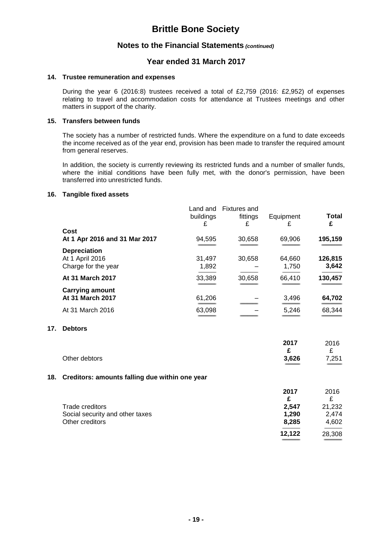## **Notes to the Financial Statements** *(continued)*

## **Year ended 31 March 2017**

#### **14. Trustee remuneration and expenses**

During the year 6 (2016:8) trustees received a total of £2,759 (2016: £2,952) of expenses relating to travel and accommodation costs for attendance at Trustees meetings and other matters in support of the charity.

#### **15. Transfers between funds**

The society has a number of restricted funds. Where the expenditure on a fund to date exceeds the income received as of the year end, provision has been made to transfer the required amount from general reserves.

In addition, the society is currently reviewing its restricted funds and a number of smaller funds, where the initial conditions have been fully met, with the donor's permission, have been transferred into unrestricted funds.

#### **16. Tangible fixed assets**

**17. Debtors**

|     |                                                                              | Land and<br>buildings<br>£ | <b>Fixtures and</b><br>fittings<br>£ | Equipment<br>£          | Total<br>£               |
|-----|------------------------------------------------------------------------------|----------------------------|--------------------------------------|-------------------------|--------------------------|
|     | Cost<br>At 1 Apr 2016 and 31 Mar 2017                                        | 94,595                     | 30,658                               | 69,906                  | 195,159                  |
|     | <b>Depreciation</b><br>At 1 April 2016<br>Charge for the year                | 31,497<br>1,892            | 30,658                               | 64,660<br>1,750         | 126,815<br>3,642         |
|     | At 31 March 2017                                                             | 33,389                     | 30,658                               | 66,410                  | 130,457                  |
|     | <b>Carrying amount</b><br>At 31 March 2017                                   | 61,206                     |                                      | 3,496                   | 64,702                   |
|     | At 31 March 2016                                                             | 63,098                     |                                      | 5,246                   | 68,344                   |
| 17. | <b>Debtors</b>                                                               |                            |                                      |                         |                          |
|     | Other debtors                                                                |                            |                                      | 2017<br>£<br>3,626      | 2016<br>£<br>7,251       |
|     |                                                                              |                            |                                      |                         |                          |
| 18. | Creditors: amounts falling due within one year                               |                            |                                      |                         |                          |
|     |                                                                              |                            |                                      | 2017<br>£               | 2016<br>£                |
|     | <b>Trade creditors</b><br>Social security and other taxes<br>Other creditors |                            |                                      | 2,547<br>1,290<br>8,285 | 21,232<br>2,474<br>4,602 |
|     |                                                                              |                            |                                      | 12,122                  | 28,308                   |
|     |                                                                              |                            |                                      |                         |                          |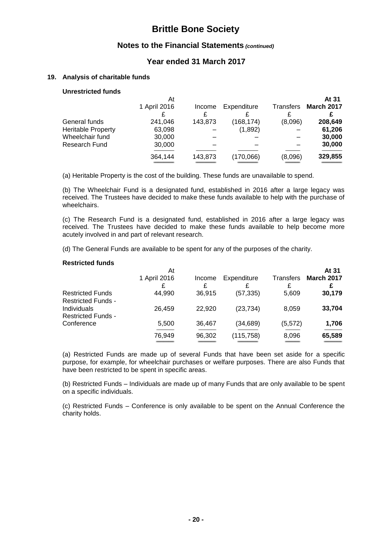## **Notes to the Financial Statements** *(continued)*

## **Year ended 31 March 2017**

#### **19. Analysis of charitable funds**

### **Unrestricted funds**

|                           | At           |         |             |                  | At 31             |
|---------------------------|--------------|---------|-------------|------------------|-------------------|
|                           | 1 April 2016 | Income  | Expenditure | <b>Transfers</b> | <b>March 2017</b> |
|                           |              |         |             |                  |                   |
| General funds             | 241,046      | 143,873 | (168, 174)  | (8,096)          | 208,649           |
| <b>Heritable Property</b> | 63,098       |         | (1,892)     |                  | 61,206            |
| Wheelchair fund           | 30,000       |         |             |                  | 30,000            |
| Research Fund             | 30,000       |         |             |                  | 30,000            |
|                           | 364,144      | 143,873 | (170,066)   | (8,096)          | 329,855           |

(a) Heritable Property is the cost of the building. These funds are unavailable to spend.

(b) The Wheelchair Fund is a designated fund, established in 2016 after a large legacy was received. The Trustees have decided to make these funds available to help with the purchase of wheelchairs.

(c) The Research Fund is a designated fund, established in 2016 after a large legacy was received. The Trustees have decided to make these funds available to help become more acutely involved in and part of relevant research.

(d) The General Funds are available to be spent for any of the purposes of the charity.

#### **Restricted funds**

| At           |        |             |           | At 31             |
|--------------|--------|-------------|-----------|-------------------|
| 1 April 2016 | Income | Expenditure | Transfers | <b>March 2017</b> |
|              |        |             |           |                   |
| 44,990       | 36,915 | (57, 335)   | 5,609     | 30,179            |
| 26,459       | 22,920 | (23, 734)   | 8,059     | 33,704            |
| 5,500        | 36,467 | (34, 689)   | (5, 572)  | 1,706             |
| 76,949       | 96,302 | (115, 758)  | 8,096     | 65,589            |
|              | £      | £           |           | £                 |

(a) Restricted Funds are made up of several Funds that have been set aside for a specific purpose, for example, for wheelchair purchases or welfare purposes. There are also Funds that have been restricted to be spent in specific areas.

(b) Restricted Funds – Individuals are made up of many Funds that are only available to be spent on a specific individuals.

(c) Restricted Funds – Conference is only available to be spent on the Annual Conference the charity holds.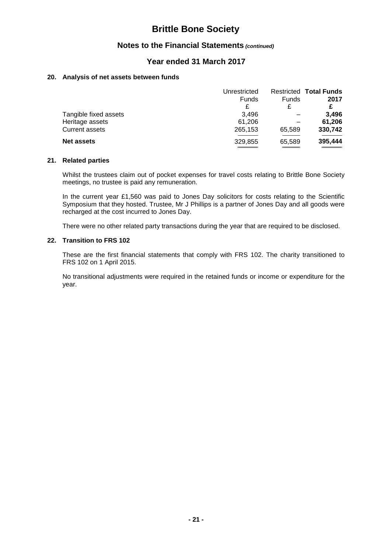## **Notes to the Financial Statements** *(continued)*

## **Year ended 31 March 2017**

#### **20. Analysis of net assets between funds**

|                       | Unrestricted |        | <b>Restricted Total Funds</b> |
|-----------------------|--------------|--------|-------------------------------|
|                       | Funds        | Funds  | 2017                          |
|                       | £            | £      |                               |
| Tangible fixed assets | 3.496        |        | 3.496                         |
| Heritage assets       | 61,206       |        | 61,206                        |
| <b>Current assets</b> | 265,153      | 65,589 | 330,742                       |
| <b>Net assets</b>     | 329,855      | 65,589 | 395,444                       |
|                       |              |        |                               |

#### **21. Related parties**

Whilst the trustees claim out of pocket expenses for travel costs relating to Brittle Bone Society meetings, no trustee is paid any remuneration.

In the current year £1,560 was paid to Jones Day solicitors for costs relating to the Scientific Symposium that they hosted. Trustee, Mr J Phillips is a partner of Jones Day and all goods were recharged at the cost incurred to Jones Day.

There were no other related party transactions during the year that are required to be disclosed.

#### **22. Transition to FRS 102**

These are the first financial statements that comply with FRS 102. The charity transitioned to FRS 102 on 1 April 2015.

No transitional adjustments were required in the retained funds or income or expenditure for the year.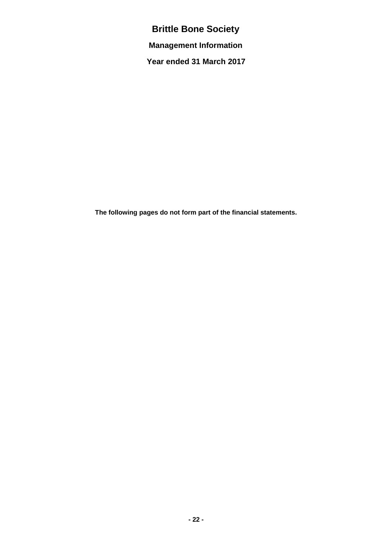**Management Information**

**Year ended 31 March 2017**

**The following pages do not form part of the financial statements.**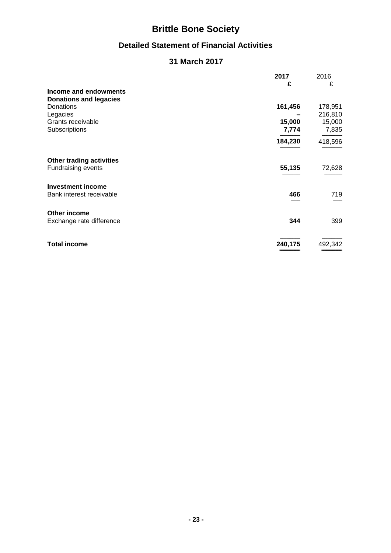# **Detailed Statement of Financial Activities**

# **31 March 2017**

|         | 2016                      |
|---------|---------------------------|
| £       | £                         |
|         |                           |
|         |                           |
| 161,456 | 178,951                   |
|         | 216,810                   |
| 15,000  | 15,000                    |
| 7,774   | 7,835                     |
| 184,230 | 418,596                   |
|         |                           |
|         | 72,628                    |
|         |                           |
| 466     | 719                       |
|         |                           |
| 344     | 399                       |
|         | 492,342                   |
|         | 2017<br>55,135<br>240,175 |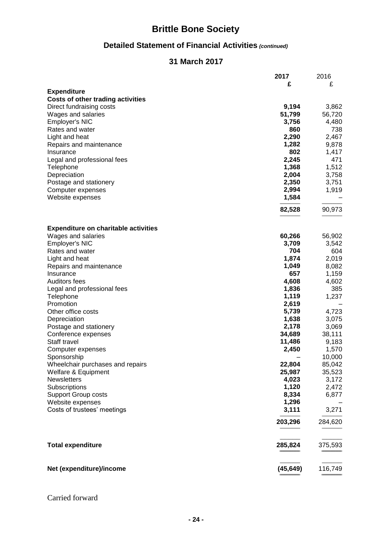# **Detailed Statement of Financial Activities** *(continued)*

# **31 March 2017**

|                                             | 2017      | 2016    |
|---------------------------------------------|-----------|---------|
|                                             | £         | £       |
| <b>Expenditure</b>                          |           |         |
| <b>Costs of other trading activities</b>    |           |         |
| Direct fundraising costs                    | 9,194     | 3,862   |
| Wages and salaries                          | 51,799    | 56,720  |
| Employer's NIC                              | 3,756     | 4,480   |
| Rates and water                             | 860       | 738     |
| Light and heat                              | 2,290     | 2,467   |
| Repairs and maintenance                     | 1,282     | 9,878   |
| Insurance                                   | 802       | 1,417   |
| Legal and professional fees                 | 2,245     | 471     |
| Telephone                                   | 1,368     | 1,512   |
|                                             | 2,004     |         |
| Depreciation                                |           | 3,758   |
| Postage and stationery                      | 2,350     | 3,751   |
| Computer expenses                           | 2,994     | 1,919   |
| Website expenses                            | 1,584     |         |
|                                             | 82,528    | 90,973  |
|                                             |           |         |
|                                             |           |         |
| <b>Expenditure on charitable activities</b> |           |         |
| Wages and salaries                          | 60,266    | 56,902  |
| Employer's NIC                              | 3,709     | 3,542   |
| Rates and water                             | 704       | 604     |
| Light and heat                              | 1,874     | 2,019   |
| Repairs and maintenance                     | 1,049     | 8,082   |
| Insurance                                   | 657       | 1,159   |
| <b>Auditors fees</b>                        | 4,608     | 4,602   |
| Legal and professional fees                 | 1,836     | 385     |
| Telephone                                   | 1,119     | 1,237   |
| Promotion                                   | 2,619     |         |
| Other office costs                          |           |         |
|                                             | 5,739     | 4,723   |
| Depreciation                                | 1,638     | 3,075   |
| Postage and stationery                      | 2,178     | 3,069   |
| Conference expenses                         | 34,689    | 38,111  |
| Staff travel                                | 11,486    | 9,183   |
| Computer expenses                           | 2,450     | 1,570   |
| Sponsorship                                 |           | 10,000  |
| Wheelchair purchases and repairs            | 22,804    | 85,042  |
| Welfare & Equipment                         | 25,987    | 35,523  |
| <b>Newsletters</b>                          | 4,023     | 3,172   |
| Subscriptions                               | 1,120     | 2,472   |
| <b>Support Group costs</b>                  | 8,334     | 6,877   |
| Website expenses                            | 1,296     |         |
| Costs of trustees' meetings                 | 3,111     | 3,271   |
|                                             |           |         |
|                                             | 203,296   | 284,620 |
| <b>Total expenditure</b>                    | 285,824   | 375,593 |
|                                             |           |         |
| Net (expenditure)/income                    | (45, 649) | 116,749 |
|                                             |           |         |

# Carried forward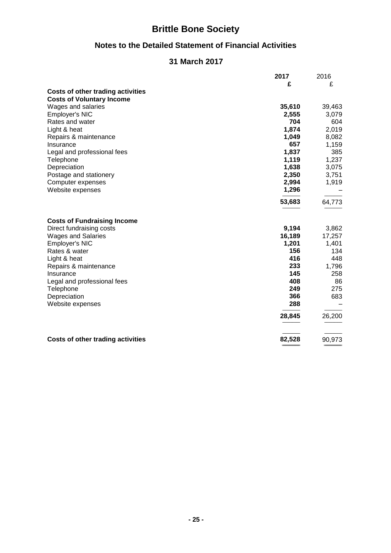# **Notes to the Detailed Statement of Financial Activities**

# **31 March 2017**

|                                          | 2017   | 2016   |
|------------------------------------------|--------|--------|
|                                          | £      | £      |
| <b>Costs of other trading activities</b> |        |        |
| <b>Costs of Voluntary Income</b>         |        |        |
| Wages and salaries                       | 35,610 | 39,463 |
| Employer's NIC                           | 2,555  | 3,079  |
| Rates and water                          | 704    | 604    |
| Light & heat                             | 1,874  | 2,019  |
| Repairs & maintenance                    | 1,049  | 8,082  |
| Insurance                                | 657    | 1,159  |
| Legal and professional fees              | 1,837  | 385    |
| Telephone                                | 1,119  | 1,237  |
| Depreciation                             | 1,638  | 3,075  |
| Postage and stationery                   | 2,350  | 3,751  |
| Computer expenses                        | 2,994  | 1,919  |
| Website expenses                         | 1,296  |        |
|                                          | 53,683 | 64,773 |
| <b>Costs of Fundraising Income</b>       |        |        |
| Direct fundraising costs                 | 9,194  | 3,862  |
| <b>Wages and Salaries</b>                | 16,189 | 17,257 |
| Employer's NIC                           | 1,201  | 1,401  |
| Rates & water                            | 156    | 134    |
| Light & heat                             | 416    | 448    |
| Repairs & maintenance                    | 233    | 1,796  |
| Insurance                                | 145    | 258    |
| Legal and professional fees              | 408    | 86     |
| Telephone                                | 249    | 275    |
| Depreciation                             | 366    | 683    |
| Website expenses                         | 288    |        |
|                                          | 28,845 | 26,200 |
| <b>Costs of other trading activities</b> | 82,528 | 90,973 |
|                                          |        |        |